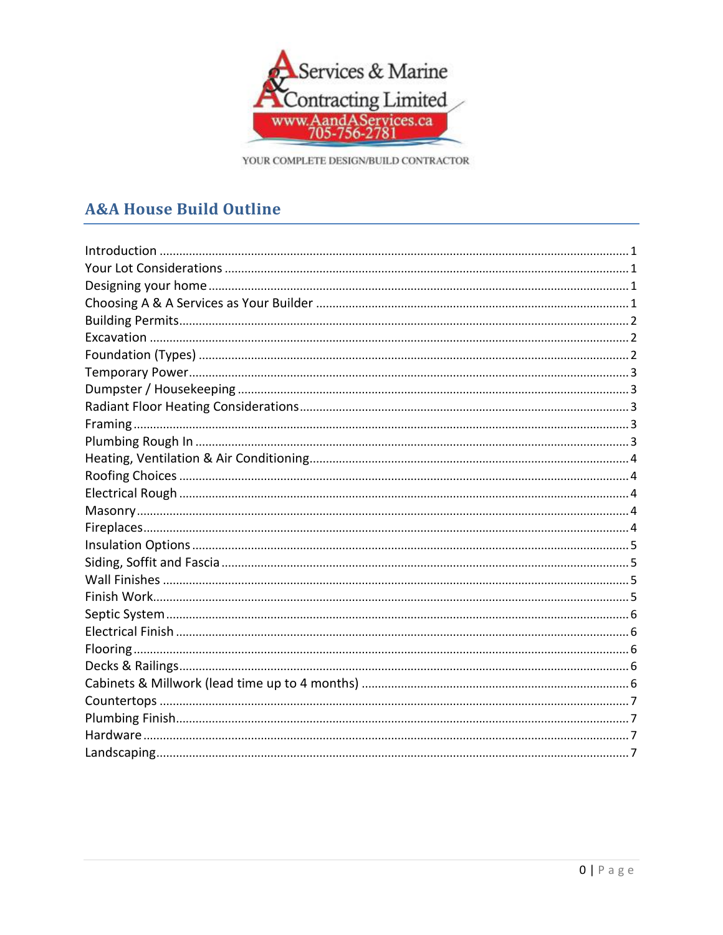

# **A&A House Build Outline**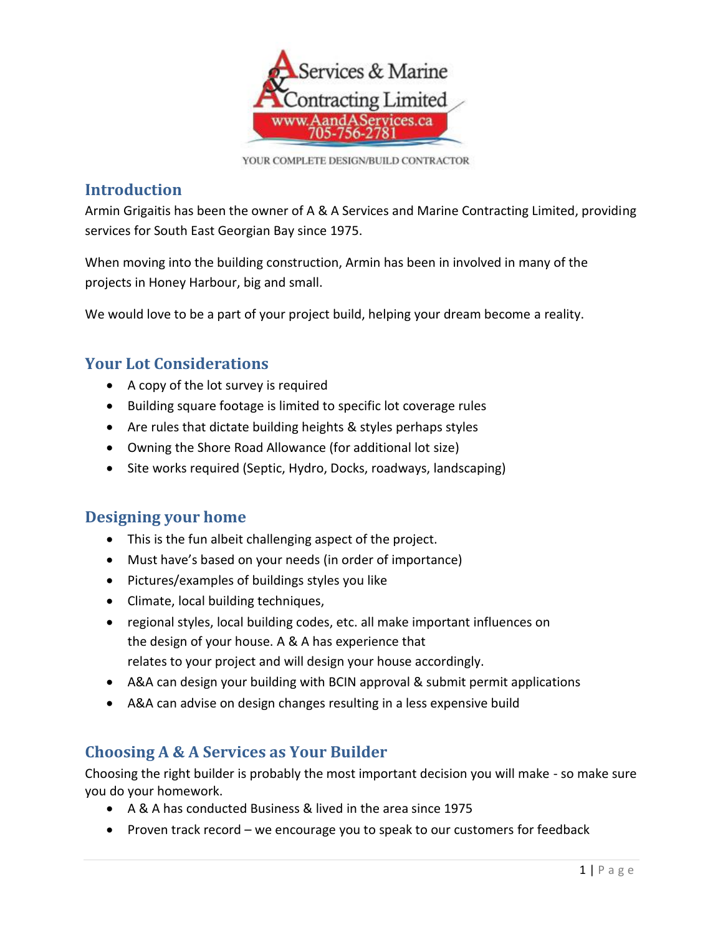

### <span id="page-1-0"></span>**Introduction**

Armin Grigaitis has been the owner of A & A Services and Marine Contracting Limited, providing services for South East Georgian Bay since 1975.

When moving into the building construction, Armin has been in involved in many of the projects in Honey Harbour, big and small.

We would love to be a part of your project build, helping your dream become a reality.

## <span id="page-1-1"></span>**Your Lot Considerations**

- A copy of the lot survey is required
- Building square footage is limited to specific lot coverage rules
- Are rules that dictate building heights & styles perhaps styles
- Owning the Shore Road Allowance (for additional lot size)
- Site works required (Septic, Hydro, Docks, roadways, landscaping)

#### <span id="page-1-2"></span>**Designing your home**

- This is the fun albeit challenging aspect of the project.
- Must have's based on your needs (in order of importance)
- Pictures/examples of buildings styles you like
- Climate, local building techniques,
- regional styles, local building codes, etc. all make important influences on the design of your house. A & A has experience that relates to your project and will design your house accordingly.
- A&A can design your building with BCIN approval & submit permit applications
- A&A can advise on design changes resulting in a less expensive build

## <span id="page-1-3"></span>**Choosing A & A Services as Your Builder**

Choosing the right builder is probably the most important decision you will make - so make sure you do your homework.

- A & A has conducted Business & lived in the area since 1975
- Proven track record we encourage you to speak to our customers for feedback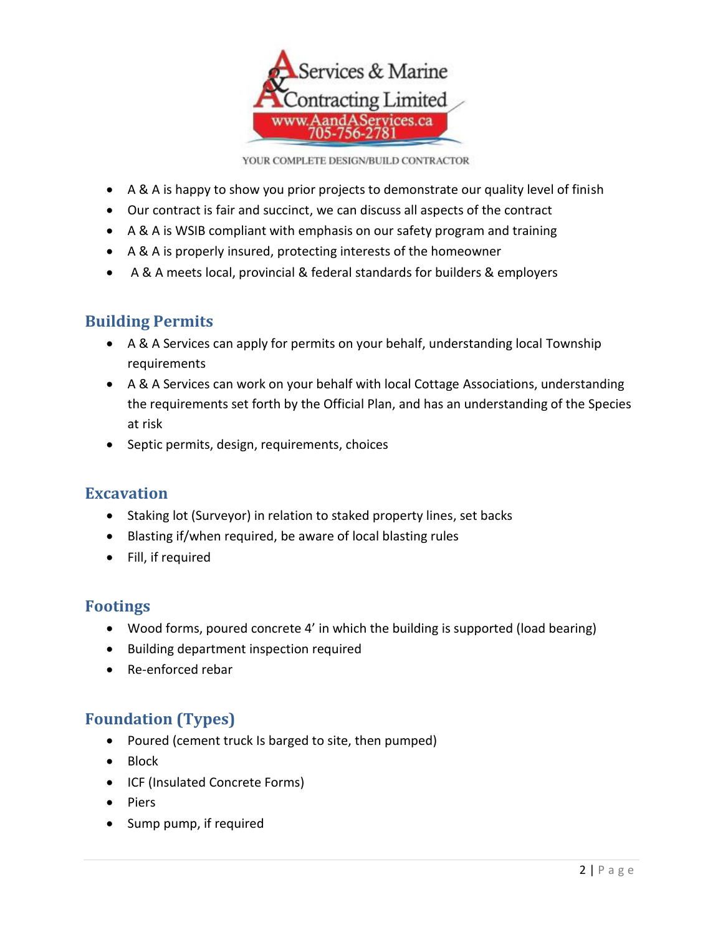

- A & A is happy to show you prior projects to demonstrate our quality level of finish
- Our contract is fair and succinct, we can discuss all aspects of the contract
- A & A is WSIB compliant with emphasis on our safety program and training
- A & A is properly insured, protecting interests of the homeowner
- A & A meets local, provincial & federal standards for builders & employers

## <span id="page-2-0"></span>**Building Permits**

- A & A Services can apply for permits on your behalf, understanding local Township requirements
- A & A Services can work on your behalf with local Cottage Associations, understanding the requirements set forth by the Official Plan, and has an understanding of the Species at risk
- Septic permits, design, requirements, choices

#### <span id="page-2-1"></span>**Excavation**

- Staking lot (Surveyor) in relation to staked property lines, set backs
- Blasting if/when required, be aware of local blasting rules
- Fill, if required

## **Footings**

- Wood forms, poured concrete 4' in which the building is supported (load bearing)
- Building department inspection required
- Re-enforced rebar

## <span id="page-2-2"></span>**Foundation (Types)**

- Poured (cement truck Is barged to site, then pumped)
- Block
- ICF (Insulated Concrete Forms)
- Piers
- Sump pump, if required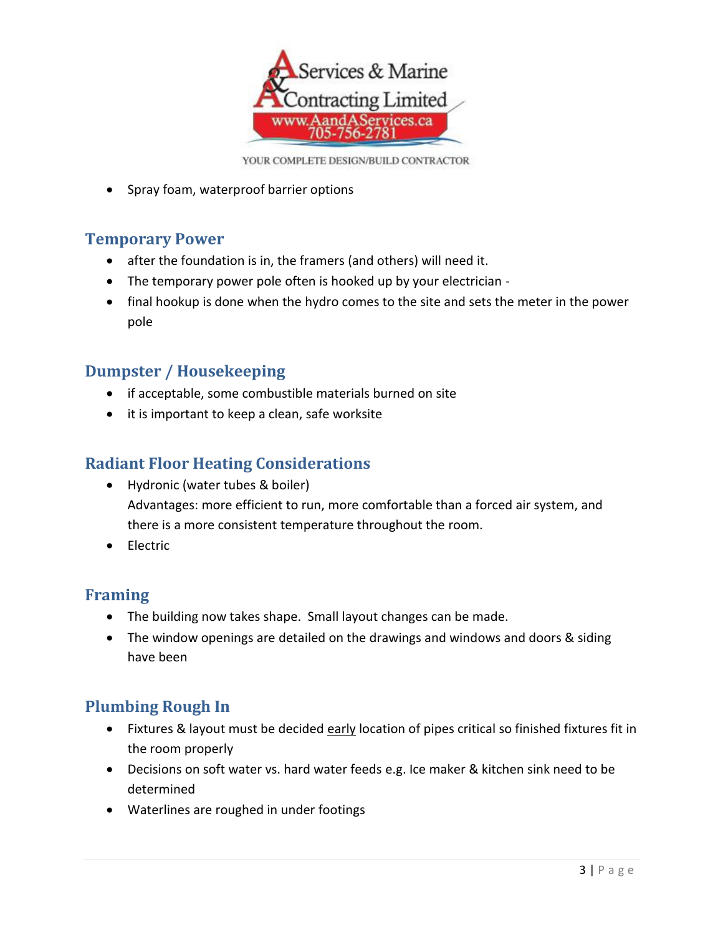

• Spray foam, waterproof barrier options

## <span id="page-3-0"></span>**Temporary Power**

- after the foundation is in, the framers (and others) will need it.
- The temporary power pole often is hooked up by your electrician -
- final hookup is done when the hydro comes to the site and sets the meter in the power pole

#### <span id="page-3-1"></span>**Dumpster / Housekeeping**

- if acceptable, some combustible materials burned on site
- it is important to keep a clean, safe worksite

#### <span id="page-3-2"></span>**Radiant Floor Heating Considerations**

- Hydronic (water tubes & boiler) Advantages: more efficient to run, more comfortable than a forced air system, and there is a more consistent temperature throughout the room.
- **•** Electric

#### <span id="page-3-3"></span>**Framing**

- The building now takes shape. Small layout changes can be made.
- The window openings are detailed on the drawings and windows and doors & siding have been

## <span id="page-3-4"></span>**Plumbing Rough In**

- Fixtures & layout must be decided early location of pipes critical so finished fixtures fit in the room properly
- Decisions on soft water vs. hard water feeds e.g. Ice maker & kitchen sink need to be determined
- Waterlines are roughed in under footings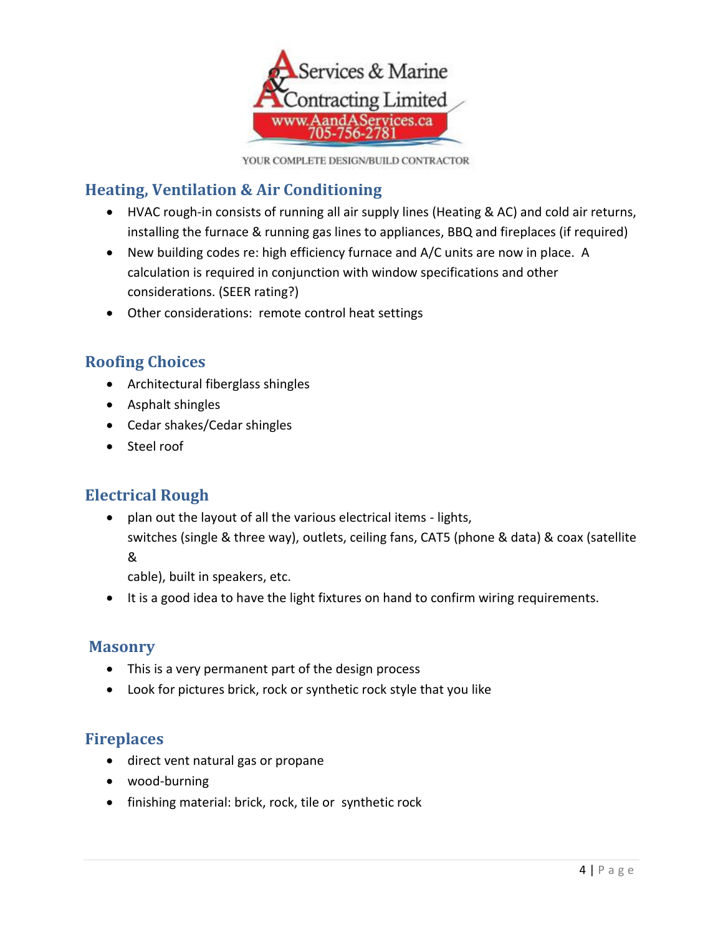

## <span id="page-4-0"></span>**Heating, Ventilation & Air Conditioning**

- HVAC rough-in consists of running all air supply lines (Heating & AC) and cold air returns, installing the furnace & running gas lines to appliances, BBQ and fireplaces (if required)
- New building codes re: high efficiency furnace and A/C units are now in place. A calculation is required in conjunction with window specifications and other considerations. (SEER rating?)
- Other considerations: remote control heat settings

## <span id="page-4-1"></span>**Roofing Choices**

- Architectural fiberglass shingles
- Asphalt shingles
- Cedar shakes/Cedar shingles
- Steel roof

## <span id="page-4-2"></span>**Electrical Rough**

 plan out the layout of all the various electrical items - lights, switches (single & three way), outlets, ceiling fans, CAT5 (phone & data) & coax (satellite &

cable), built in speakers, etc.

• It is a good idea to have the light fixtures on hand to confirm wiring requirements.

#### <span id="page-4-3"></span>**Masonry**

- This is a very permanent part of the design process
- Look for pictures brick, rock or synthetic rock style that you like

#### <span id="page-4-4"></span>**Fireplaces**

- direct vent natural gas or propane
- wood-burning
- finishing material: brick, rock, tile or synthetic rock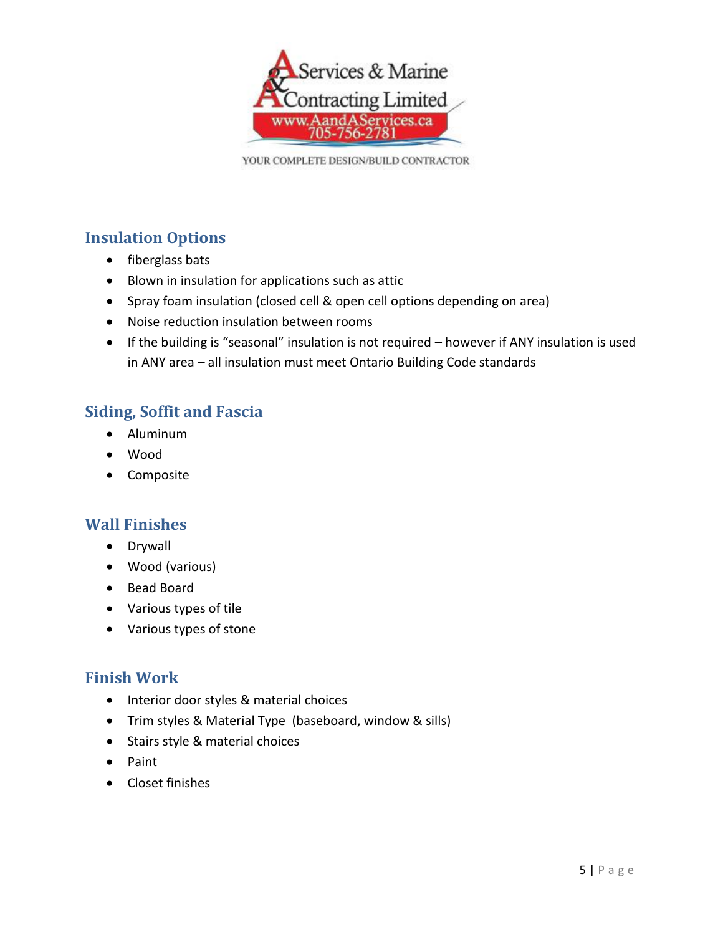

## <span id="page-5-0"></span>**Insulation Options**

- fiberglass bats
- Blown in insulation for applications such as attic
- Spray foam insulation (closed cell & open cell options depending on area)
- Noise reduction insulation between rooms
- If the building is "seasonal" insulation is not required however if ANY insulation is used in ANY area – all insulation must meet Ontario Building Code standards

## <span id="page-5-1"></span>**Siding, Soffit and Fascia**

- Aluminum
- Wood
- Composite

#### <span id="page-5-2"></span>**Wall Finishes**

- Drywall
- Wood (various)
- Bead Board
- Various types of tile
- Various types of stone

#### <span id="page-5-3"></span>**Finish Work**

- Interior door styles & material choices
- Trim styles & Material Type (baseboard, window & sills)
- Stairs style & material choices
- Paint
- Closet finishes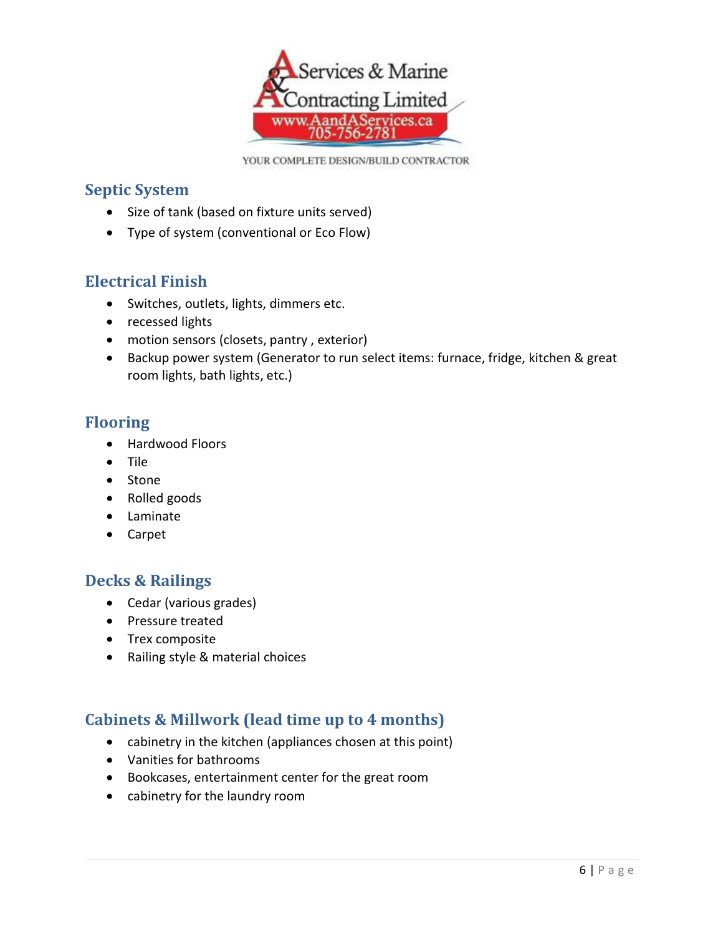

### <span id="page-6-0"></span>**Septic System**

- Size of tank (based on fixture units served)
- Type of system (conventional or Eco Flow)

## <span id="page-6-1"></span>**Electrical Finish**

- Switches, outlets, lights, dimmers etc.
- recessed lights
- motion sensors (closets, pantry, exterior)
- Backup power system (Generator to run select items: furnace, fridge, kitchen & great room lights, bath lights, etc.)

### <span id="page-6-2"></span>**Flooring**

- Hardwood Floors
- Tile
- Stone
- Rolled goods
- Laminate
- Carpet

#### <span id="page-6-3"></span>**Decks & Railings**

- Cedar (various grades)
- Pressure treated
- Trex composite
- Railing style & material choices

## <span id="page-6-4"></span>**Cabinets & Millwork (lead time up to 4 months)**

- cabinetry in the kitchen (appliances chosen at this point)
- Vanities for bathrooms
- Bookcases, entertainment center for the great room
- cabinetry for the laundry room